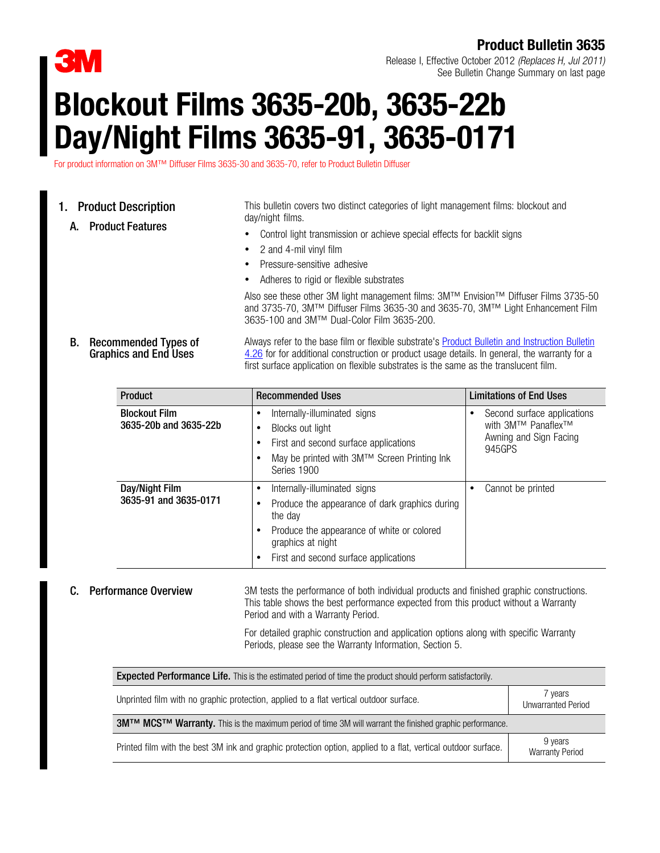

# Product Bulletin 3635

Release I, Effective October 2012 (Replaces H, Jul 2011) See Bulletin Change Summary on last page

# Blockout Films 3635-20b, 3635-22b Day/Night Films 3635-91, 3635-0171

For product information on 3M™ Diffuser Films 3635-30 and 3635-70, refer to Product Bulletin Diffuser

# 1. Product Description

A. Product Features

This bulletin covers two distinct categories of light management films: blockout and day/night films.

- Control light transmission or achieve special effects for backlit signs
- 2 and 4-mil vinyl film
- Pressure-sensitive adhesive
- Adheres to rigid or flexible substrates

Also see these other 3M light management films: 3M™ Envision™ Diffuser Films 3735-50 and 3735-70, 3M™ Diffuser Films 3635-30 and 3635-70, 3M™ Light Enhancement Film 3635-100 and 3M™ Dual-Color Film 3635-200.

### B. Recommended Types of Graphics and End Uses Always refer to the base film or flexible substrate's **Product Bulletin and Instruction Bulletin** [4.26](http://multimedia.mmm.com/mws/mediawebserver.dyn?6666660Zjcf6lVs6EVs666Xw&COrrrrQ-) for for additional construction or product usage details. In general, the warranty for a first surface application on flexible substrates is the same as the translucent film.

| <b>Product</b>                                | <b>Recommended Uses</b>                                                                                                                                                                                         | <b>Limitations of End Uses</b>                                                                    |  |  |
|-----------------------------------------------|-----------------------------------------------------------------------------------------------------------------------------------------------------------------------------------------------------------------|---------------------------------------------------------------------------------------------------|--|--|
| <b>Blockout Film</b><br>3635-20b and 3635-22b | Internally-illuminated signs<br>٠<br>Blocks out light<br>٠<br>First and second surface applications<br>٠<br>May be printed with 3M™ Screen Printing Ink<br>Series 1900                                          | Second surface applications<br>with 3M™ Panaflex <sup>™</sup><br>Awning and Sign Facing<br>945GPS |  |  |
| Day/Night Film<br>3635-91 and 3635-0171       | Internally-illuminated signs<br>٠<br>Produce the appearance of dark graphics during<br>٠<br>the day<br>Produce the appearance of white or colored<br>graphics at night<br>First and second surface applications | Cannot be printed                                                                                 |  |  |

**C.** Performance Overview 3M tests the performance of both individual products and finished graphic constructions. This table shows the best performance expected from this product without a Warranty Period and with a Warranty Period.

> For detailed graphic construction and application options along with specific Warranty Periods, please see the Warranty Information, Section 5.

| <b>Expected Performance Life.</b> This is the estimated period of time the product should perform satisfactorily.                      |                                   |  |  |  |
|----------------------------------------------------------------------------------------------------------------------------------------|-----------------------------------|--|--|--|
| Unprinted film with no graphic protection, applied to a flat vertical outdoor surface.                                                 | 7 years<br>Unwarranted Period     |  |  |  |
| <b>3M<sup>TM</sup> MCS<sup>TM</sup> Warranty.</b> This is the maximum period of time 3M will warrant the finished graphic performance. |                                   |  |  |  |
| Printed film with the best 3M ink and graphic protection option, applied to a flat, vertical outdoor surface.                          | 9 years<br><b>Warranty Period</b> |  |  |  |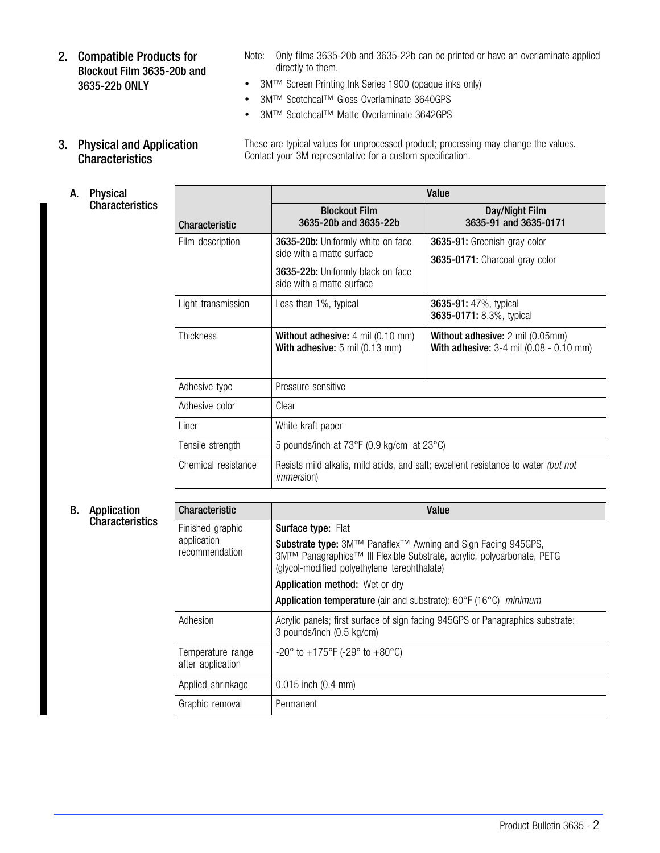- 2. Compatible Products for Blockout Film 3635-20b and 3635-22b ONLY
- Note: Only films 3635-20b and 3635-22b can be printed or have an overlaminate applied directly to them.

These are typical values for unprocessed product; processing may change the values.

- 3M™ Screen Printing Ink Series 1900 (opaque inks only)
- 3M™ Scotchcal™ Gloss Overlaminate 3640GPS
- 3M™ Scotchcal™ Matte Overlaminate 3642GPS

Contact your 3M representative for a custom specification.

3. Physical and Application **Characteristics** 

A. Physical **Characteristics** 

|                       | Value                                                                                                                            |                                                                                    |  |  |  |
|-----------------------|----------------------------------------------------------------------------------------------------------------------------------|------------------------------------------------------------------------------------|--|--|--|
| <b>Characteristic</b> | <b>Blockout Film</b><br>3635-20b and 3635-22b                                                                                    | Day/Night Film<br>3635-91 and 3635-0171                                            |  |  |  |
| Film description      | 3635-20b: Uniformly white on face<br>side with a matte surface<br>3635-22b: Uniformly black on face<br>side with a matte surface | 3635-91: Greenish gray color<br>3635-0171: Charcoal gray color                     |  |  |  |
| Light transmission    | Less than 1%, typical                                                                                                            | 3635-91: 47%, typical<br>3635-0171: 8.3%, typical                                  |  |  |  |
| Thickness             | <b>Without adhesive:</b> 4 mil (0.10 mm)<br>With adhesive: $5 \text{ mil} (0.13 \text{ mm})$                                     | <b>Without adhesive:</b> 2 mil (0.05mm)<br>With adhesive: 3-4 mil (0.08 - 0.10 mm) |  |  |  |
| Adhesive type         | Pressure sensitive                                                                                                               |                                                                                    |  |  |  |
| Adhesive color        | Clear                                                                                                                            |                                                                                    |  |  |  |
| I iner                | White kraft paper                                                                                                                |                                                                                    |  |  |  |
| Tensile strength      | 5 pounds/inch at 73°F (0.9 kg/cm at 23°C)                                                                                        |                                                                                    |  |  |  |
| Chemical resistance   | Resists mild alkalis, mild acids, and salt; excellent resistance to water (but not<br><i>immersion</i> )                         |                                                                                    |  |  |  |
| Characteristic        |                                                                                                                                  | Value                                                                              |  |  |  |

### B. Application **Characteristics**

| <b>Characteristic</b>                  | Value                                                                                                                                                                                                     |  |
|----------------------------------------|-----------------------------------------------------------------------------------------------------------------------------------------------------------------------------------------------------------|--|
| Finished graphic                       | <b>Surface type: Flat</b>                                                                                                                                                                                 |  |
| application<br>recommendation          | <b>Substrate type:</b> 3M™ Panaflex <sup>™</sup> Awning and Sign Facing 945GPS,<br>3M™ Panagraphics™ III Flexible Substrate, acrylic, polycarbonate, PETG<br>(glycol-modified polyethylene terephthalate) |  |
|                                        | <b>Application method:</b> Wet or dry                                                                                                                                                                     |  |
|                                        | Application temperature (air and substrate): 60°F (16°C) minimum                                                                                                                                          |  |
| Adhesion                               | Acrylic panels; first surface of sign facing 945GPS or Panagraphics substrate:<br>3 pounds/inch (0.5 kg/cm)                                                                                               |  |
| Temperature range<br>after application | $-20^{\circ}$ to $+175^{\circ}$ F ( $-29^{\circ}$ to $+80^{\circ}$ C)                                                                                                                                     |  |
| Applied shrinkage                      | $0.015$ inch $(0.4$ mm)                                                                                                                                                                                   |  |
| Graphic removal                        | Permanent                                                                                                                                                                                                 |  |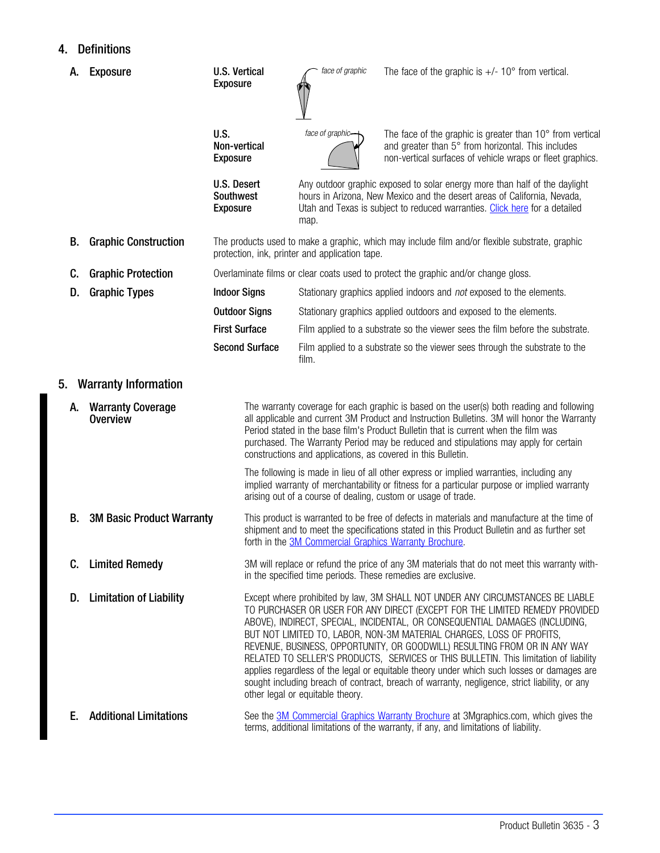# 4. Definitions

| А. | Exposure                                    | <b>U.S. Vertical</b><br><b>Exposure</b>            |                       | face of graphic                                | The face of the graphic is $+/- 10^{\circ}$ from vertical.                                                                                                                                                                                                                                                                                                                                                                                                                                                                                                                                                                                                                                |
|----|---------------------------------------------|----------------------------------------------------|-----------------------|------------------------------------------------|-------------------------------------------------------------------------------------------------------------------------------------------------------------------------------------------------------------------------------------------------------------------------------------------------------------------------------------------------------------------------------------------------------------------------------------------------------------------------------------------------------------------------------------------------------------------------------------------------------------------------------------------------------------------------------------------|
|    |                                             | U.S.<br>Non-vertical<br><b>Exposure</b>            |                       | face of graphic-                               | The face of the graphic is greater than 10° from vertical<br>and greater than 5° from horizontal. This includes<br>non-vertical surfaces of vehicle wraps or fleet graphics.                                                                                                                                                                                                                                                                                                                                                                                                                                                                                                              |
|    |                                             | U.S. Desert<br><b>Southwest</b><br><b>Exposure</b> |                       | map.                                           | Any outdoor graphic exposed to solar energy more than half of the daylight<br>hours in Arizona, New Mexico and the desert areas of California, Nevada,<br>Utah and Texas is subject to reduced warranties. Click here for a detailed                                                                                                                                                                                                                                                                                                                                                                                                                                                      |
| В. | <b>Graphic Construction</b>                 |                                                    |                       | protection, ink, printer and application tape. | The products used to make a graphic, which may include film and/or flexible substrate, graphic                                                                                                                                                                                                                                                                                                                                                                                                                                                                                                                                                                                            |
| C. | <b>Graphic Protection</b>                   |                                                    |                       |                                                | Overlaminate films or clear coats used to protect the graphic and/or change gloss.                                                                                                                                                                                                                                                                                                                                                                                                                                                                                                                                                                                                        |
| D. | <b>Graphic Types</b>                        | <b>Indoor Signs</b>                                |                       |                                                | Stationary graphics applied indoors and not exposed to the elements.                                                                                                                                                                                                                                                                                                                                                                                                                                                                                                                                                                                                                      |
|    |                                             |                                                    | <b>Outdoor Signs</b>  |                                                | Stationary graphics applied outdoors and exposed to the elements.                                                                                                                                                                                                                                                                                                                                                                                                                                                                                                                                                                                                                         |
|    |                                             | <b>First Surface</b>                               |                       |                                                | Film applied to a substrate so the viewer sees the film before the substrate.                                                                                                                                                                                                                                                                                                                                                                                                                                                                                                                                                                                                             |
|    |                                             |                                                    | <b>Second Surface</b> | film.                                          | Film applied to a substrate so the viewer sees through the substrate to the                                                                                                                                                                                                                                                                                                                                                                                                                                                                                                                                                                                                               |
| 5. | <b>Warranty Information</b>                 |                                                    |                       |                                                |                                                                                                                                                                                                                                                                                                                                                                                                                                                                                                                                                                                                                                                                                           |
| А. | <b>Warranty Coverage</b><br><b>Overview</b> |                                                    |                       |                                                | The warranty coverage for each graphic is based on the user(s) both reading and following<br>all applicable and current 3M Product and Instruction Bulletins. 3M will honor the Warranty<br>Period stated in the base film's Product Bulletin that is current when the film was<br>purchased. The Warranty Period may be reduced and stipulations may apply for certain<br>constructions and applications, as covered in this Bulletin.                                                                                                                                                                                                                                                   |
|    |                                             |                                                    |                       |                                                | The following is made in lieu of all other express or implied warranties, including any<br>implied warranty of merchantability or fitness for a particular purpose or implied warranty<br>arising out of a course of dealing, custom or usage of trade.                                                                                                                                                                                                                                                                                                                                                                                                                                   |
| В. | <b>3M Basic Product Warranty</b>            |                                                    |                       |                                                | This product is warranted to be free of defects in materials and manufacture at the time of<br>shipment and to meet the specifications stated in this Product Bulletin and as further set<br>forth in the 3M Commercial Graphics Warranty Brochure.                                                                                                                                                                                                                                                                                                                                                                                                                                       |
| C. | <b>Limited Remedy</b>                       |                                                    |                       |                                                | 3M will replace or refund the price of any 3M materials that do not meet this warranty with-<br>in the specified time periods. These remedies are exclusive.                                                                                                                                                                                                                                                                                                                                                                                                                                                                                                                              |
|    | D. Limitation of Liability                  |                                                    |                       | other legal or equitable theory.               | Except where prohibited by law, 3M SHALL NOT UNDER ANY CIRCUMSTANCES BE LIABLE<br>TO PURCHASER OR USER FOR ANY DIRECT (EXCEPT FOR THE LIMITED REMEDY PROVIDED<br>ABOVE), INDIRECT, SPECIAL, INCIDENTAL, OR CONSEQUENTIAL DAMAGES (INCLUDING,<br>BUT NOT LIMITED TO, LABOR, NON-3M MATERIAL CHARGES, LOSS OF PROFITS,<br>REVENUE, BUSINESS, OPPORTUNITY, OR GOODWILL) RESULTING FROM OR IN ANY WAY<br>RELATED TO SELLER'S PRODUCTS, SERVICES or THIS BULLETIN. This limitation of liability<br>applies regardless of the legal or equitable theory under which such losses or damages are<br>sought including breach of contract, breach of warranty, negligence, strict liability, or any |
| Е. | <b>Additional Limitations</b>               |                                                    |                       |                                                | See the <b>3M Commercial Graphics Warranty Brochure</b> at 3Mgraphics.com, which gives the<br>terms, additional limitations of the warranty, if any, and limitations of liability.                                                                                                                                                                                                                                                                                                                                                                                                                                                                                                        |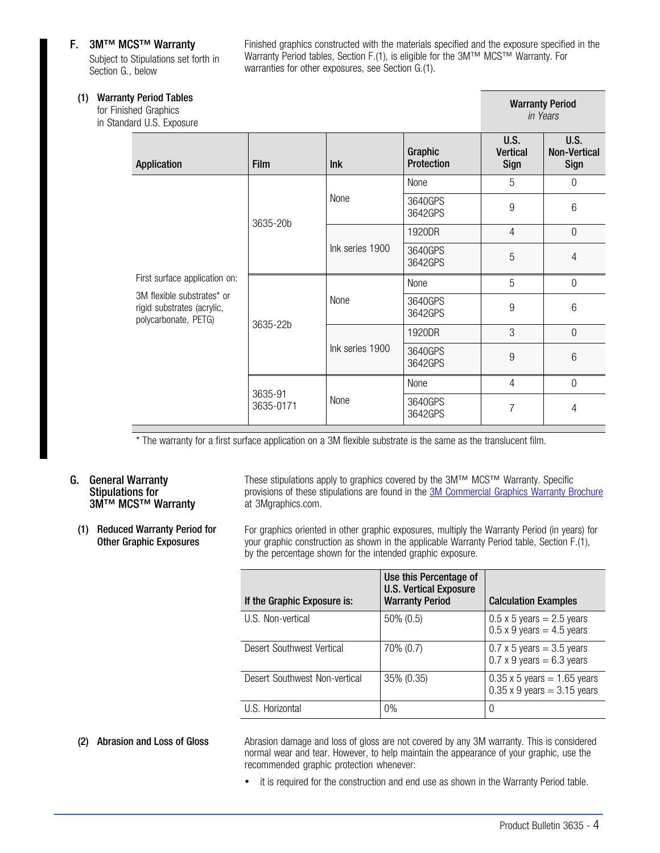### F. 3M™ MCS™ Warranty

Subject to Stipulations set forth in Section G., below

Finished graphics constructed with the materials specified and the exposure specified in the Warranty Period tables, Section F.(1), is eligible for the 3M™ MCS™ Warranty. For warranties for other exposures, see Section G.(1).

| (1) | <b>Warranty Period Tables</b><br>for Finished Graphics<br>in Standard U.S. Exposure |                                                                                                                   |                      |                 |                              | <b>Warranty Period</b><br>in Years |                                            |
|-----|-------------------------------------------------------------------------------------|-------------------------------------------------------------------------------------------------------------------|----------------------|-----------------|------------------------------|------------------------------------|--------------------------------------------|
|     |                                                                                     | Application                                                                                                       | <b>Film</b>          | lnk             | Graphic<br><b>Protection</b> | U.S.<br><b>Vertical</b><br>Sign    | <b>U.S.</b><br><b>Non-Vertical</b><br>Sign |
|     |                                                                                     |                                                                                                                   | 3635-20b             | None            | None                         | 5                                  | $\mathbf 0$                                |
|     |                                                                                     |                                                                                                                   |                      |                 | 3640GPS<br>3642GPS           | $9\,$                              | $6\,$                                      |
|     |                                                                                     | First surface application on:<br>3M flexible substrates* or<br>rigid substrates (acrylic,<br>polycarbonate, PETG) |                      | Ink series 1900 | 1920DR                       | $\overline{4}$                     | $\overline{0}$                             |
|     |                                                                                     |                                                                                                                   |                      |                 | 3640GPS<br>3642GPS           | 5                                  | 4                                          |
|     |                                                                                     |                                                                                                                   |                      | None            | None                         | 5                                  | $\mathbf 0$                                |
|     |                                                                                     |                                                                                                                   | 3635-22b             |                 | 3640GPS<br>3642GPS           | $9\,$                              | 6                                          |
|     |                                                                                     |                                                                                                                   |                      | Ink series 1900 | 1920DR                       | 3                                  | $\overline{0}$                             |
|     |                                                                                     |                                                                                                                   |                      |                 | 3640GPS<br>3642GPS           | 9                                  | 6                                          |
|     |                                                                                     |                                                                                                                   |                      | None            | None                         | $\overline{4}$                     | $\overline{0}$                             |
|     |                                                                                     |                                                                                                                   | 3635-91<br>3635-0171 |                 | 3640GPS<br>3642GPS           | $\overline{7}$                     | 4                                          |

\* The warranty for a first surface application on a 3M flexible substrate is the same as the translucent film.

### G. General Warranty Stipulations for 3M™ MCS™ Warranty

(1) Reduced Warranty Period for Other Graphic Exposures

These stipulations apply to graphics covered by the 3M™ MCS™ Warranty. Specific provisions of these stipulations are found in the [3M Commercial Graphics Warranty Brochure](http://multimedia.3m.com/mws/mediawebserver?mwsId=SSSSSufSevTsZxtUN8_UM8mZevUqevTSevTSevTSeSSSSSS--&fn=3M%20Commercial%20Graphics%20Warranty) at 3Mgraphics.com.

For graphics oriented in other graphic exposures, multiply the Warranty Period (in years) for your graphic construction as shown in the applicable Warranty Period table, Section F.(1), by the percentage shown for the intended graphic exposure.

| If the Graphic Exposure is:   | Use this Percentage of<br><b>U.S. Vertical Exposure</b><br><b>Warranty Period</b> | <b>Calculation Examples</b>                                              |
|-------------------------------|-----------------------------------------------------------------------------------|--------------------------------------------------------------------------|
| U.S. Non-vertical             | 50% (0.5)                                                                         | $0.5 \times 5$ years = 2.5 years<br>$0.5 \times 9$ years = 4.5 years     |
| Desert Southwest Vertical     | 70% (0.7)                                                                         | $0.7 \times 5$ years = 3.5 years<br>$0.7 \times 9$ years = 6.3 years     |
| Desert Southwest Non-vertical | 35% (0.35)                                                                        | $0.35 \times 5$ years = 1.65 years<br>$0.35 \times 9$ years = 3.15 years |
| U.S. Horizontal               | $0\%$                                                                             |                                                                          |

(2) Abrasion and Loss of Gloss **Abrasion damage and loss of gloss are not covered by any 3M warranty**. This is considered normal wear and tear. However, to help maintain the appearance of your graphic, use the recommended graphic protection whenever:

• it is required for the construction and end use as shown in the Warranty Period table.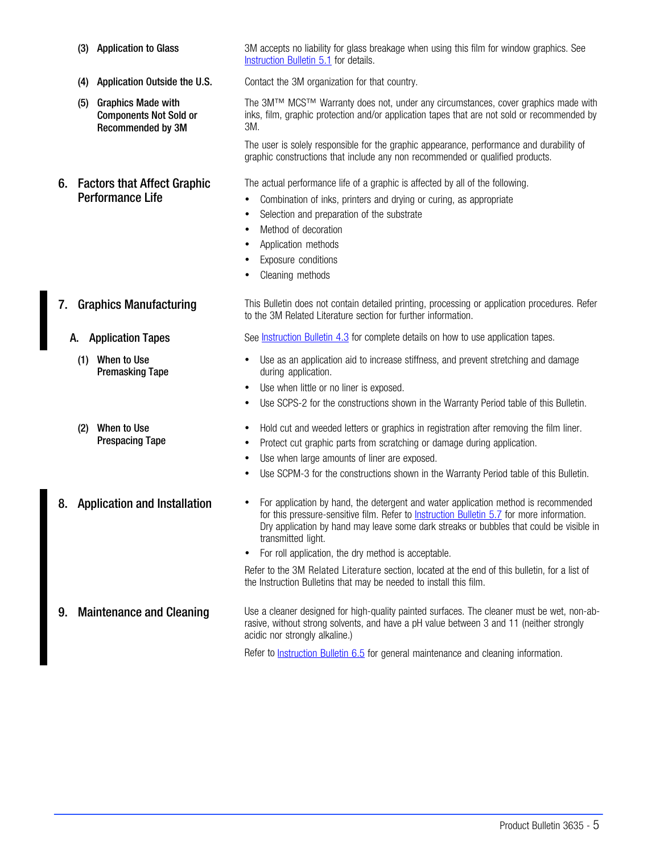- 
- 
- (5) Graphics Made with Components Not Sold or Recommended by 3M

## 6. Factors that Affect Graphic Performance Life

(3) Application to Glass 3M accepts no liability for glass breakage when using this film for window graphics. See [Instruction Bulletin 5.1](http://multimedia.mmm.com/mws/mediawebserver.dyn?6666660Zjcf6lVs6EVs666TtMCOrrrrQ-) for details.

(4) Application Outside the U.S. Contact the 3M organization for that country.

The 3M™ MCS™ Warranty does not, under any circumstances, cover graphics made with inks, film, graphic protection and/or application tapes that are not sold or recommended by 3M.

The user is solely responsible for the graphic appearance, performance and durability of graphic constructions that include any non recommended or qualified products.

The actual performance life of a graphic is affected by all of the following.

- Combination of inks, printers and drying or curing, as appropriate
- Selection and preparation of the substrate
- Method of decoration
- Application methods
- Exposure conditions
- Cleaning methods

7. Graphics Manufacturing This Bulletin does not contain detailed printing, processing or application procedures. Refer to the 3M Related Literature section for further information.

A. Application Tapes See [Instruction Bulletin 4.3](http://multimedia.mmm.com/mws/mediawebserver.dyn?6666660Zjcf6lVs6EVs666Tt3COrrrrQ-) for complete details on how to use application tapes.

- Use as an application aid to increase stiffness, and prevent stretching and damage during application.
- Use when little or no liner is exposed.
- Use SCPS-2 for the constructions shown in the Warranty Period table of this Bulletin.
- Hold cut and weeded letters or graphics in registration after removing the film liner.
- Protect cut graphic parts from scratching or damage during application.
- Use when large amounts of liner are exposed.
- Use SCPM-3 for the constructions shown in the Warranty Period table of this Bulletin.
- 8. Application and Installation For application by hand, the detergent and water application method is recommended for this pressure-sensitive film. Refer to **Instruction Bulletin 5.7** for more information. Dry application by hand may leave some dark streaks or bubbles that could be visible in transmitted light.
	- For roll application, the dry method is acceptable.

Refer to the 3M Related Literature section, located at the end of this bulletin, for a list of the Instruction Bulletins that may be needed to install this film.

9. Maintenance and Cleaning Use a cleaner designed for high-quality painted surfaces. The cleaner must be wet, non-abrasive, without strong solvents, and have a pH value between 3 and 11 (neither strongly acidic nor strongly alkaline.)

Refer to [Instruction Bulletin 6.5](http://multimedia.mmm.com/mws/mediawebserver.dyn?6666660Zjcf6lVs6EVs666TtlCOrrrrQ-) for general maintenance and cleaning information.

- 
- (1) When to Use Premasking Tape
- (2) When to Use Prespacing Tape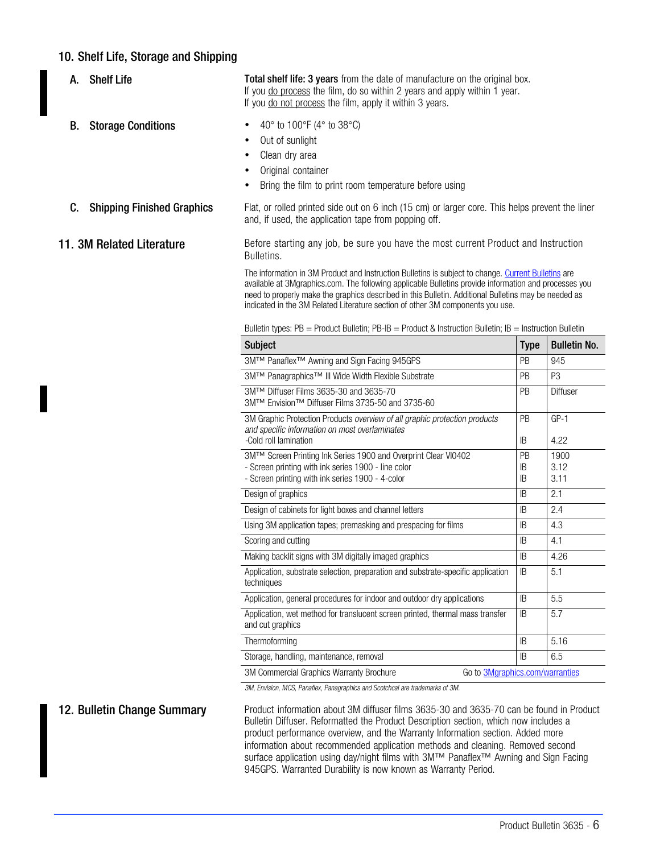# 10. Shelf Life, Storage and Shipping

A. Shelf Life Total shelf life: 3 years from the date of manufacture on the original box. If you do process the film, do so within 2 years and apply within 1 year. If you do not process the film, apply it within 3 years.

- **B.** Storage Conditions  $\bullet$  40° to 100°F (4° to 38°C)
	- Out of sunlight
	- Clean dry area
	- Original container
	- Bring the film to print room temperature before using

**C.** Shipping Finished Graphics Flat, or rolled printed side out on 6 inch (15 cm) or larger core. This helps prevent the liner and, if used, the application tape from popping off.

11. 3M Related Literature **Before starting any job, be sure you have the most current Product and Instruction** Bulletins.

> The information in 3M Product and Instruction Bulletins is subject to change. [Current Bulletins](http://multimedia.3m.com/mws/mediawebserver?mwsId=66666UuZjcFSLXTtlxM2N8TtEVuQEcuZgVs6EVs6E666666--&fn=CGDIndex.pdf) are available at 3Mgraphics.com. The following applicable Bulletins provide information and processes you need to properly make the graphics described in this Bulletin. Additional Bulletins may be needed as indicated in the 3M Related Literature section of other 3M components you use.

| <b>Subject</b>                                                                                                                                        | <b>Type</b> | <b>Bulletin No.</b> |  |  |
|-------------------------------------------------------------------------------------------------------------------------------------------------------|-------------|---------------------|--|--|
| 3M™ Panaflex <sup>™</sup> Awning and Sign Facing 945GPS                                                                                               | <b>PB</b>   | 945                 |  |  |
| 3M™ Panagraphics™ III Wide Width Flexible Substrate                                                                                                   | <b>PB</b>   | P <sub>3</sub>      |  |  |
| 3M™ Diffuser Films 3635-30 and 3635-70<br>3M™ Envision™ Diffuser Films 3735-50 and 3735-60                                                            | <b>PB</b>   | Diffuser            |  |  |
| 3M Graphic Protection Products overview of all graphic protection products<br>and specific information on most overlaminates<br>-Cold roll lamination | PB<br>IB    | $GP-1$<br>4.22      |  |  |
| 3M™ Screen Printing Ink Series 1900 and Overprint Clear VI0402                                                                                        | PB          | 1900                |  |  |
| - Screen printing with ink series 1900 - line color                                                                                                   | IB          | 3.12                |  |  |
| - Screen printing with ink series 1900 - 4-color                                                                                                      | IB          | 3.11                |  |  |
| Design of graphics                                                                                                                                    | IB.         | 2.1                 |  |  |
| Design of cabinets for light boxes and channel letters                                                                                                | IB          | 2.4                 |  |  |
| Using 3M application tapes; premasking and prespacing for films                                                                                       | IB          | 4.3                 |  |  |
| Scoring and cutting                                                                                                                                   | IB.         | 4.1                 |  |  |
| Making backlit signs with 3M digitally imaged graphics                                                                                                | IB.         | 4.26                |  |  |
| Application, substrate selection, preparation and substrate-specific application<br>techniques                                                        | IB          | 5.1                 |  |  |
| Application, general procedures for indoor and outdoor dry applications                                                                               | IB          | 5.5                 |  |  |
| Application, wet method for translucent screen printed, thermal mass transfer<br>and cut graphics                                                     | IB.         | 5.7                 |  |  |
| Thermoformina                                                                                                                                         | IB          | 5.16                |  |  |
| Storage, handling, maintenance, removal                                                                                                               | IB          | 6.5                 |  |  |
| Go to 3Mgraphics.com/warranties<br>3M Commercial Graphics Warranty Brochure                                                                           |             |                     |  |  |

Bulletin types: PB = Product Bulletin; PB-IB = Product & Instruction Bulletin; IB = Instruction Bulletin

3M, Envision, MCS, Panaflex, Panagraphics and Scotchcal are trademarks of 3M.

12. Bulletin Change Summary Product information about 3M diffuser films 3635-30 and 3635-70 can be found in Product Bulletin Diffuser. Reformatted the Product Description section, which now includes a product performance overview, and the Warranty Information section. Added more information about recommended application methods and cleaning. Removed second surface application using day/night films with 3M™ Panaflex<sup>™</sup> Awning and Sign Facing 945GPS. Warranted Durability is now known as Warranty Period.